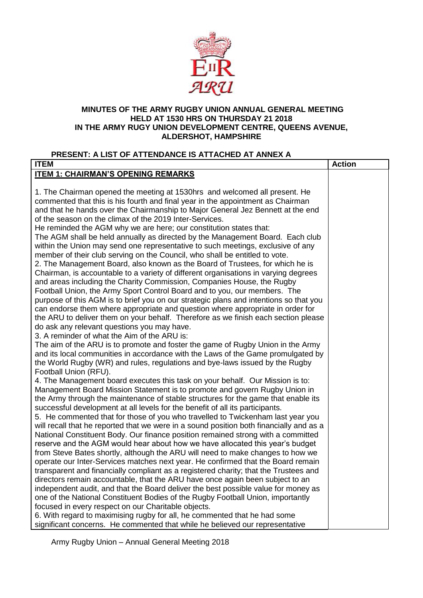

#### **MINUTES OF THE ARMY RUGBY UNION ANNUAL GENERAL MEETING HELD AT 1530 HRS ON THURSDAY 21 2018 IN THE ARMY RUGY UNION DEVELOPMENT CENTRE, QUEENS AVENUE, ALDERSHOT, HAMPSHIRE**

# **PRESENT: A LIST OF ATTENDANCE IS ATTACHED AT ANNEX A**

| <b>ITEM 1: CHAIRMAN'S OPENING REMARKS</b><br>1. The Chairman opened the meeting at 1530hrs and welcomed all present. He<br>commented that this is his fourth and final year in the appointment as Chairman<br>and that he hands over the Chairmanship to Major General Jez Bennett at the end<br>of the season on the climax of the 2019 Inter-Services.<br>He reminded the AGM why we are here; our constitution states that:<br>The AGM shall be held annually as directed by the Management Board. Each club<br>within the Union may send one representative to such meetings, exclusive of any<br>member of their club serving on the Council, who shall be entitled to vote.<br>2. The Management Board, also known as the Board of Trustees, for which he is<br>Chairman, is accountable to a variety of different organisations in varying degrees<br>and areas including the Charity Commission, Companies House, the Rugby<br>Football Union, the Army Sport Control Board and to you, our members. The<br>purpose of this AGM is to brief you on our strategic plans and intentions so that you<br>can endorse them where appropriate and question where appropriate in order for<br>the ARU to deliver them on your behalf. Therefore as we finish each section please<br>do ask any relevant questions you may have.<br>3. A reminder of what the Aim of the ARU is:<br>The aim of the ARU is to promote and foster the game of Rugby Union in the Army<br>and its local communities in accordance with the Laws of the Game promulgated by<br>the World Rugby (WR) and rules, regulations and bye-laws issued by the Rugby<br>Football Union (RFU).<br>4. The Management board executes this task on your behalf. Our Mission is to:<br>Management Board Mission Statement is to promote and govern Rugby Union in<br>the Army through the maintenance of stable structures for the game that enable its<br>successful development at all levels for the benefit of all its participants.<br>5. He commented that for those of you who travelled to Twickenham last year you<br>will recall that he reported that we were in a sound position both financially and as a<br>National Constituent Body. Our finance position remained strong with a committed<br>reserve and the AGM would hear about how we have allocated this year's budget<br>from Steve Bates shortly, although the ARU will need to make changes to how we<br>operate our Inter-Services matches next year. He confirmed that the Board remain<br>transparent and financially compliant as a registered charity; that the Trustees and<br>directors remain accountable, that the ARU have once again been subject to an<br>independent audit, and that the Board deliver the best possible value for money as<br>one of the National Constituent Bodies of the Rugby Football Union, importantly<br>focused in every respect on our Charitable objects.<br>6. With regard to maximising rugby for all, he commented that he had some | <b>ITEM</b>                                                                  | <b>Action</b> |
|-----------------------------------------------------------------------------------------------------------------------------------------------------------------------------------------------------------------------------------------------------------------------------------------------------------------------------------------------------------------------------------------------------------------------------------------------------------------------------------------------------------------------------------------------------------------------------------------------------------------------------------------------------------------------------------------------------------------------------------------------------------------------------------------------------------------------------------------------------------------------------------------------------------------------------------------------------------------------------------------------------------------------------------------------------------------------------------------------------------------------------------------------------------------------------------------------------------------------------------------------------------------------------------------------------------------------------------------------------------------------------------------------------------------------------------------------------------------------------------------------------------------------------------------------------------------------------------------------------------------------------------------------------------------------------------------------------------------------------------------------------------------------------------------------------------------------------------------------------------------------------------------------------------------------------------------------------------------------------------------------------------------------------------------------------------------------------------------------------------------------------------------------------------------------------------------------------------------------------------------------------------------------------------------------------------------------------------------------------------------------------------------------------------------------------------------------------------------------------------------------------------------------------------------------------------------------------------------------------------------------------------------------------------------------------------------------------------------------------------------------------------------------------------------------------------------------------------------------------------------------------------------------------------------------------------------------------------------------------------------------------------------------|------------------------------------------------------------------------------|---------------|
|                                                                                                                                                                                                                                                                                                                                                                                                                                                                                                                                                                                                                                                                                                                                                                                                                                                                                                                                                                                                                                                                                                                                                                                                                                                                                                                                                                                                                                                                                                                                                                                                                                                                                                                                                                                                                                                                                                                                                                                                                                                                                                                                                                                                                                                                                                                                                                                                                                                                                                                                                                                                                                                                                                                                                                                                                                                                                                                                                                                                                       |                                                                              |               |
|                                                                                                                                                                                                                                                                                                                                                                                                                                                                                                                                                                                                                                                                                                                                                                                                                                                                                                                                                                                                                                                                                                                                                                                                                                                                                                                                                                                                                                                                                                                                                                                                                                                                                                                                                                                                                                                                                                                                                                                                                                                                                                                                                                                                                                                                                                                                                                                                                                                                                                                                                                                                                                                                                                                                                                                                                                                                                                                                                                                                                       |                                                                              |               |
|                                                                                                                                                                                                                                                                                                                                                                                                                                                                                                                                                                                                                                                                                                                                                                                                                                                                                                                                                                                                                                                                                                                                                                                                                                                                                                                                                                                                                                                                                                                                                                                                                                                                                                                                                                                                                                                                                                                                                                                                                                                                                                                                                                                                                                                                                                                                                                                                                                                                                                                                                                                                                                                                                                                                                                                                                                                                                                                                                                                                                       |                                                                              |               |
|                                                                                                                                                                                                                                                                                                                                                                                                                                                                                                                                                                                                                                                                                                                                                                                                                                                                                                                                                                                                                                                                                                                                                                                                                                                                                                                                                                                                                                                                                                                                                                                                                                                                                                                                                                                                                                                                                                                                                                                                                                                                                                                                                                                                                                                                                                                                                                                                                                                                                                                                                                                                                                                                                                                                                                                                                                                                                                                                                                                                                       |                                                                              |               |
|                                                                                                                                                                                                                                                                                                                                                                                                                                                                                                                                                                                                                                                                                                                                                                                                                                                                                                                                                                                                                                                                                                                                                                                                                                                                                                                                                                                                                                                                                                                                                                                                                                                                                                                                                                                                                                                                                                                                                                                                                                                                                                                                                                                                                                                                                                                                                                                                                                                                                                                                                                                                                                                                                                                                                                                                                                                                                                                                                                                                                       |                                                                              |               |
|                                                                                                                                                                                                                                                                                                                                                                                                                                                                                                                                                                                                                                                                                                                                                                                                                                                                                                                                                                                                                                                                                                                                                                                                                                                                                                                                                                                                                                                                                                                                                                                                                                                                                                                                                                                                                                                                                                                                                                                                                                                                                                                                                                                                                                                                                                                                                                                                                                                                                                                                                                                                                                                                                                                                                                                                                                                                                                                                                                                                                       |                                                                              |               |
|                                                                                                                                                                                                                                                                                                                                                                                                                                                                                                                                                                                                                                                                                                                                                                                                                                                                                                                                                                                                                                                                                                                                                                                                                                                                                                                                                                                                                                                                                                                                                                                                                                                                                                                                                                                                                                                                                                                                                                                                                                                                                                                                                                                                                                                                                                                                                                                                                                                                                                                                                                                                                                                                                                                                                                                                                                                                                                                                                                                                                       |                                                                              |               |
|                                                                                                                                                                                                                                                                                                                                                                                                                                                                                                                                                                                                                                                                                                                                                                                                                                                                                                                                                                                                                                                                                                                                                                                                                                                                                                                                                                                                                                                                                                                                                                                                                                                                                                                                                                                                                                                                                                                                                                                                                                                                                                                                                                                                                                                                                                                                                                                                                                                                                                                                                                                                                                                                                                                                                                                                                                                                                                                                                                                                                       |                                                                              |               |
|                                                                                                                                                                                                                                                                                                                                                                                                                                                                                                                                                                                                                                                                                                                                                                                                                                                                                                                                                                                                                                                                                                                                                                                                                                                                                                                                                                                                                                                                                                                                                                                                                                                                                                                                                                                                                                                                                                                                                                                                                                                                                                                                                                                                                                                                                                                                                                                                                                                                                                                                                                                                                                                                                                                                                                                                                                                                                                                                                                                                                       |                                                                              |               |
|                                                                                                                                                                                                                                                                                                                                                                                                                                                                                                                                                                                                                                                                                                                                                                                                                                                                                                                                                                                                                                                                                                                                                                                                                                                                                                                                                                                                                                                                                                                                                                                                                                                                                                                                                                                                                                                                                                                                                                                                                                                                                                                                                                                                                                                                                                                                                                                                                                                                                                                                                                                                                                                                                                                                                                                                                                                                                                                                                                                                                       |                                                                              |               |
|                                                                                                                                                                                                                                                                                                                                                                                                                                                                                                                                                                                                                                                                                                                                                                                                                                                                                                                                                                                                                                                                                                                                                                                                                                                                                                                                                                                                                                                                                                                                                                                                                                                                                                                                                                                                                                                                                                                                                                                                                                                                                                                                                                                                                                                                                                                                                                                                                                                                                                                                                                                                                                                                                                                                                                                                                                                                                                                                                                                                                       |                                                                              |               |
|                                                                                                                                                                                                                                                                                                                                                                                                                                                                                                                                                                                                                                                                                                                                                                                                                                                                                                                                                                                                                                                                                                                                                                                                                                                                                                                                                                                                                                                                                                                                                                                                                                                                                                                                                                                                                                                                                                                                                                                                                                                                                                                                                                                                                                                                                                                                                                                                                                                                                                                                                                                                                                                                                                                                                                                                                                                                                                                                                                                                                       |                                                                              |               |
|                                                                                                                                                                                                                                                                                                                                                                                                                                                                                                                                                                                                                                                                                                                                                                                                                                                                                                                                                                                                                                                                                                                                                                                                                                                                                                                                                                                                                                                                                                                                                                                                                                                                                                                                                                                                                                                                                                                                                                                                                                                                                                                                                                                                                                                                                                                                                                                                                                                                                                                                                                                                                                                                                                                                                                                                                                                                                                                                                                                                                       |                                                                              |               |
|                                                                                                                                                                                                                                                                                                                                                                                                                                                                                                                                                                                                                                                                                                                                                                                                                                                                                                                                                                                                                                                                                                                                                                                                                                                                                                                                                                                                                                                                                                                                                                                                                                                                                                                                                                                                                                                                                                                                                                                                                                                                                                                                                                                                                                                                                                                                                                                                                                                                                                                                                                                                                                                                                                                                                                                                                                                                                                                                                                                                                       |                                                                              |               |
|                                                                                                                                                                                                                                                                                                                                                                                                                                                                                                                                                                                                                                                                                                                                                                                                                                                                                                                                                                                                                                                                                                                                                                                                                                                                                                                                                                                                                                                                                                                                                                                                                                                                                                                                                                                                                                                                                                                                                                                                                                                                                                                                                                                                                                                                                                                                                                                                                                                                                                                                                                                                                                                                                                                                                                                                                                                                                                                                                                                                                       |                                                                              |               |
|                                                                                                                                                                                                                                                                                                                                                                                                                                                                                                                                                                                                                                                                                                                                                                                                                                                                                                                                                                                                                                                                                                                                                                                                                                                                                                                                                                                                                                                                                                                                                                                                                                                                                                                                                                                                                                                                                                                                                                                                                                                                                                                                                                                                                                                                                                                                                                                                                                                                                                                                                                                                                                                                                                                                                                                                                                                                                                                                                                                                                       |                                                                              |               |
|                                                                                                                                                                                                                                                                                                                                                                                                                                                                                                                                                                                                                                                                                                                                                                                                                                                                                                                                                                                                                                                                                                                                                                                                                                                                                                                                                                                                                                                                                                                                                                                                                                                                                                                                                                                                                                                                                                                                                                                                                                                                                                                                                                                                                                                                                                                                                                                                                                                                                                                                                                                                                                                                                                                                                                                                                                                                                                                                                                                                                       |                                                                              |               |
|                                                                                                                                                                                                                                                                                                                                                                                                                                                                                                                                                                                                                                                                                                                                                                                                                                                                                                                                                                                                                                                                                                                                                                                                                                                                                                                                                                                                                                                                                                                                                                                                                                                                                                                                                                                                                                                                                                                                                                                                                                                                                                                                                                                                                                                                                                                                                                                                                                                                                                                                                                                                                                                                                                                                                                                                                                                                                                                                                                                                                       |                                                                              |               |
|                                                                                                                                                                                                                                                                                                                                                                                                                                                                                                                                                                                                                                                                                                                                                                                                                                                                                                                                                                                                                                                                                                                                                                                                                                                                                                                                                                                                                                                                                                                                                                                                                                                                                                                                                                                                                                                                                                                                                                                                                                                                                                                                                                                                                                                                                                                                                                                                                                                                                                                                                                                                                                                                                                                                                                                                                                                                                                                                                                                                                       |                                                                              |               |
|                                                                                                                                                                                                                                                                                                                                                                                                                                                                                                                                                                                                                                                                                                                                                                                                                                                                                                                                                                                                                                                                                                                                                                                                                                                                                                                                                                                                                                                                                                                                                                                                                                                                                                                                                                                                                                                                                                                                                                                                                                                                                                                                                                                                                                                                                                                                                                                                                                                                                                                                                                                                                                                                                                                                                                                                                                                                                                                                                                                                                       |                                                                              |               |
|                                                                                                                                                                                                                                                                                                                                                                                                                                                                                                                                                                                                                                                                                                                                                                                                                                                                                                                                                                                                                                                                                                                                                                                                                                                                                                                                                                                                                                                                                                                                                                                                                                                                                                                                                                                                                                                                                                                                                                                                                                                                                                                                                                                                                                                                                                                                                                                                                                                                                                                                                                                                                                                                                                                                                                                                                                                                                                                                                                                                                       |                                                                              |               |
|                                                                                                                                                                                                                                                                                                                                                                                                                                                                                                                                                                                                                                                                                                                                                                                                                                                                                                                                                                                                                                                                                                                                                                                                                                                                                                                                                                                                                                                                                                                                                                                                                                                                                                                                                                                                                                                                                                                                                                                                                                                                                                                                                                                                                                                                                                                                                                                                                                                                                                                                                                                                                                                                                                                                                                                                                                                                                                                                                                                                                       |                                                                              |               |
|                                                                                                                                                                                                                                                                                                                                                                                                                                                                                                                                                                                                                                                                                                                                                                                                                                                                                                                                                                                                                                                                                                                                                                                                                                                                                                                                                                                                                                                                                                                                                                                                                                                                                                                                                                                                                                                                                                                                                                                                                                                                                                                                                                                                                                                                                                                                                                                                                                                                                                                                                                                                                                                                                                                                                                                                                                                                                                                                                                                                                       |                                                                              |               |
|                                                                                                                                                                                                                                                                                                                                                                                                                                                                                                                                                                                                                                                                                                                                                                                                                                                                                                                                                                                                                                                                                                                                                                                                                                                                                                                                                                                                                                                                                                                                                                                                                                                                                                                                                                                                                                                                                                                                                                                                                                                                                                                                                                                                                                                                                                                                                                                                                                                                                                                                                                                                                                                                                                                                                                                                                                                                                                                                                                                                                       |                                                                              |               |
|                                                                                                                                                                                                                                                                                                                                                                                                                                                                                                                                                                                                                                                                                                                                                                                                                                                                                                                                                                                                                                                                                                                                                                                                                                                                                                                                                                                                                                                                                                                                                                                                                                                                                                                                                                                                                                                                                                                                                                                                                                                                                                                                                                                                                                                                                                                                                                                                                                                                                                                                                                                                                                                                                                                                                                                                                                                                                                                                                                                                                       |                                                                              |               |
|                                                                                                                                                                                                                                                                                                                                                                                                                                                                                                                                                                                                                                                                                                                                                                                                                                                                                                                                                                                                                                                                                                                                                                                                                                                                                                                                                                                                                                                                                                                                                                                                                                                                                                                                                                                                                                                                                                                                                                                                                                                                                                                                                                                                                                                                                                                                                                                                                                                                                                                                                                                                                                                                                                                                                                                                                                                                                                                                                                                                                       |                                                                              |               |
|                                                                                                                                                                                                                                                                                                                                                                                                                                                                                                                                                                                                                                                                                                                                                                                                                                                                                                                                                                                                                                                                                                                                                                                                                                                                                                                                                                                                                                                                                                                                                                                                                                                                                                                                                                                                                                                                                                                                                                                                                                                                                                                                                                                                                                                                                                                                                                                                                                                                                                                                                                                                                                                                                                                                                                                                                                                                                                                                                                                                                       |                                                                              |               |
|                                                                                                                                                                                                                                                                                                                                                                                                                                                                                                                                                                                                                                                                                                                                                                                                                                                                                                                                                                                                                                                                                                                                                                                                                                                                                                                                                                                                                                                                                                                                                                                                                                                                                                                                                                                                                                                                                                                                                                                                                                                                                                                                                                                                                                                                                                                                                                                                                                                                                                                                                                                                                                                                                                                                                                                                                                                                                                                                                                                                                       |                                                                              |               |
|                                                                                                                                                                                                                                                                                                                                                                                                                                                                                                                                                                                                                                                                                                                                                                                                                                                                                                                                                                                                                                                                                                                                                                                                                                                                                                                                                                                                                                                                                                                                                                                                                                                                                                                                                                                                                                                                                                                                                                                                                                                                                                                                                                                                                                                                                                                                                                                                                                                                                                                                                                                                                                                                                                                                                                                                                                                                                                                                                                                                                       |                                                                              |               |
|                                                                                                                                                                                                                                                                                                                                                                                                                                                                                                                                                                                                                                                                                                                                                                                                                                                                                                                                                                                                                                                                                                                                                                                                                                                                                                                                                                                                                                                                                                                                                                                                                                                                                                                                                                                                                                                                                                                                                                                                                                                                                                                                                                                                                                                                                                                                                                                                                                                                                                                                                                                                                                                                                                                                                                                                                                                                                                                                                                                                                       |                                                                              |               |
|                                                                                                                                                                                                                                                                                                                                                                                                                                                                                                                                                                                                                                                                                                                                                                                                                                                                                                                                                                                                                                                                                                                                                                                                                                                                                                                                                                                                                                                                                                                                                                                                                                                                                                                                                                                                                                                                                                                                                                                                                                                                                                                                                                                                                                                                                                                                                                                                                                                                                                                                                                                                                                                                                                                                                                                                                                                                                                                                                                                                                       |                                                                              |               |
|                                                                                                                                                                                                                                                                                                                                                                                                                                                                                                                                                                                                                                                                                                                                                                                                                                                                                                                                                                                                                                                                                                                                                                                                                                                                                                                                                                                                                                                                                                                                                                                                                                                                                                                                                                                                                                                                                                                                                                                                                                                                                                                                                                                                                                                                                                                                                                                                                                                                                                                                                                                                                                                                                                                                                                                                                                                                                                                                                                                                                       |                                                                              |               |
|                                                                                                                                                                                                                                                                                                                                                                                                                                                                                                                                                                                                                                                                                                                                                                                                                                                                                                                                                                                                                                                                                                                                                                                                                                                                                                                                                                                                                                                                                                                                                                                                                                                                                                                                                                                                                                                                                                                                                                                                                                                                                                                                                                                                                                                                                                                                                                                                                                                                                                                                                                                                                                                                                                                                                                                                                                                                                                                                                                                                                       |                                                                              |               |
|                                                                                                                                                                                                                                                                                                                                                                                                                                                                                                                                                                                                                                                                                                                                                                                                                                                                                                                                                                                                                                                                                                                                                                                                                                                                                                                                                                                                                                                                                                                                                                                                                                                                                                                                                                                                                                                                                                                                                                                                                                                                                                                                                                                                                                                                                                                                                                                                                                                                                                                                                                                                                                                                                                                                                                                                                                                                                                                                                                                                                       |                                                                              |               |
|                                                                                                                                                                                                                                                                                                                                                                                                                                                                                                                                                                                                                                                                                                                                                                                                                                                                                                                                                                                                                                                                                                                                                                                                                                                                                                                                                                                                                                                                                                                                                                                                                                                                                                                                                                                                                                                                                                                                                                                                                                                                                                                                                                                                                                                                                                                                                                                                                                                                                                                                                                                                                                                                                                                                                                                                                                                                                                                                                                                                                       |                                                                              |               |
|                                                                                                                                                                                                                                                                                                                                                                                                                                                                                                                                                                                                                                                                                                                                                                                                                                                                                                                                                                                                                                                                                                                                                                                                                                                                                                                                                                                                                                                                                                                                                                                                                                                                                                                                                                                                                                                                                                                                                                                                                                                                                                                                                                                                                                                                                                                                                                                                                                                                                                                                                                                                                                                                                                                                                                                                                                                                                                                                                                                                                       |                                                                              |               |
|                                                                                                                                                                                                                                                                                                                                                                                                                                                                                                                                                                                                                                                                                                                                                                                                                                                                                                                                                                                                                                                                                                                                                                                                                                                                                                                                                                                                                                                                                                                                                                                                                                                                                                                                                                                                                                                                                                                                                                                                                                                                                                                                                                                                                                                                                                                                                                                                                                                                                                                                                                                                                                                                                                                                                                                                                                                                                                                                                                                                                       |                                                                              |               |
|                                                                                                                                                                                                                                                                                                                                                                                                                                                                                                                                                                                                                                                                                                                                                                                                                                                                                                                                                                                                                                                                                                                                                                                                                                                                                                                                                                                                                                                                                                                                                                                                                                                                                                                                                                                                                                                                                                                                                                                                                                                                                                                                                                                                                                                                                                                                                                                                                                                                                                                                                                                                                                                                                                                                                                                                                                                                                                                                                                                                                       |                                                                              |               |
|                                                                                                                                                                                                                                                                                                                                                                                                                                                                                                                                                                                                                                                                                                                                                                                                                                                                                                                                                                                                                                                                                                                                                                                                                                                                                                                                                                                                                                                                                                                                                                                                                                                                                                                                                                                                                                                                                                                                                                                                                                                                                                                                                                                                                                                                                                                                                                                                                                                                                                                                                                                                                                                                                                                                                                                                                                                                                                                                                                                                                       | significant concerns. He commented that while he believed our representative |               |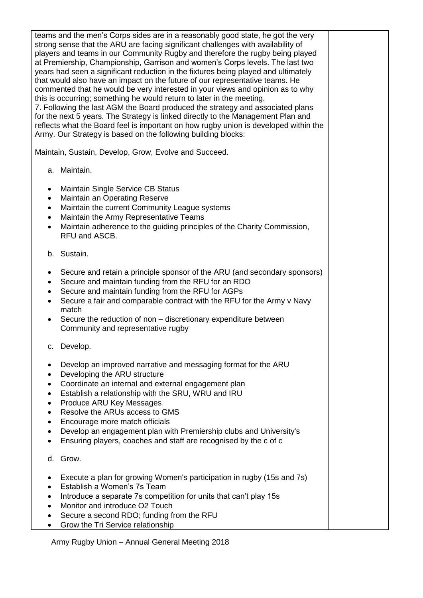teams and the men's Corps sides are in a reasonably good state, he got the very strong sense that the ARU are facing significant challenges with availability of players and teams in our Community Rugby and therefore the rugby being played at Premiership, Championship, Garrison and women's Corps levels. The last two years had seen a significant reduction in the fixtures being played and ultimately that would also have an impact on the future of our representative teams. He commented that he would be very interested in your views and opinion as to why this is occurring; something he would return to later in the meeting. 7. Following the last AGM the Board produced the strategy and associated plans for the next 5 years. The Strategy is linked directly to the Management Plan and reflects what the Board feel is important on how rugby union is developed within the Army. Our Strategy is based on the following building blocks:

Maintain, Sustain, Develop, Grow, Evolve and Succeed.

- a. Maintain.
- Maintain Single Service CB Status
- Maintain an Operating Reserve
- Maintain the current Community League systems
- Maintain the Army Representative Teams
- Maintain adherence to the guiding principles of the Charity Commission, RFU and ASCB.
- b. Sustain.
- Secure and retain a principle sponsor of the ARU (and secondary sponsors)
- Secure and maintain funding from the RFU for an RDO
- Secure and maintain funding from the RFU for AGPs
- Secure a fair and comparable contract with the RFU for the Army v Navy match
- Secure the reduction of non discretionary expenditure between Community and representative rugby
- c. Develop.
- Develop an improved narrative and messaging format for the ARU
- Developing the ARU structure
- Coordinate an internal and external engagement plan
- Establish a relationship with the SRU, WRU and IRU
- Produce ARU Key Messages
- Resolve the ARUs access to GMS
- Encourage more match officials
- Develop an engagement plan with Premiership clubs and University's
- Ensuring players, coaches and staff are recognised by the c of c
- d. Grow.
- Execute a plan for growing Women's participation in rugby (15s and 7s)
- Establish a Women's 7s Team
- Introduce a separate 7s competition for units that can't play 15s
- Monitor and introduce O2 Touch
- Secure a second RDO; funding from the RFU
- Grow the Tri Service relationship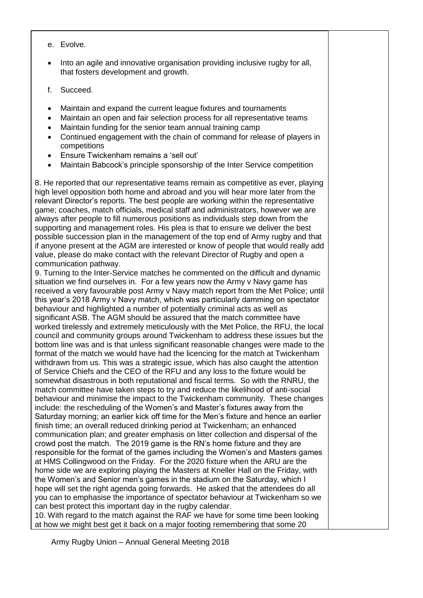- e. Evolve.
- Into an agile and innovative organisation providing inclusive rugby for all, that fosters development and growth.
- f. Succeed.
- Maintain and expand the current league fixtures and tournaments
- Maintain an open and fair selection process for all representative teams
- Maintain funding for the senior team annual training camp
- Continued engagement with the chain of command for release of players in competitions
- Ensure Twickenham remains a 'sell out'
- Maintain Babcock's principle sponsorship of the Inter Service competition

8. He reported that our representative teams remain as competitive as ever, playing high level opposition both home and abroad and you will hear more later from the relevant Director's reports. The best people are working within the representative game; coaches, match officials, medical staff and administrators, however we are always after people to fill numerous positions as individuals step down from the supporting and management roles. His plea is that to ensure we deliver the best possible succession plan in the management of the top end of Army rugby and that if anyone present at the AGM are interested or know of people that would really add value, please do make contact with the relevant Director of Rugby and open a communication pathway.

9. Turning to the Inter-Service matches he commented on the difficult and dynamic situation we find ourselves in. For a few years now the Army v Navy game has received a very favourable post Army v Navy match report from the Met Police; until this year's 2018 Army v Navy match, which was particularly damming on spectator behaviour and highlighted a number of potentially criminal acts as well as significant ASB. The AGM should be assured that the match committee have worked tirelessly and extremely meticulously with the Met Police, the RFU, the local council and community groups around Twickenham to address these issues but the bottom line was and is that unless significant reasonable changes were made to the format of the match we would have had the licencing for the match at Twickenham withdrawn from us. This was a strategic issue, which has also caught the attention of Service Chiefs and the CEO of the RFU and any loss to the fixture would be somewhat disastrous in both reputational and fiscal terms. So with the RNRU, the match committee have taken steps to try and reduce the likelihood of anti-social behaviour and minimise the impact to the Twickenham community. These changes include: the rescheduling of the Women's and Master's fixtures away from the Saturday morning; an earlier kick off time for the Men's fixture and hence an earlier finish time; an overall reduced drinking period at Twickenham; an enhanced communication plan; and greater emphasis on litter collection and dispersal of the crowd post the match. The 2019 game is the RN's home fixture and they are responsible for the format of the games including the Women's and Masters games at HMS Collingwood on the Friday. For the 2020 fixture when the ARU are the home side we are exploring playing the Masters at Kneller Hall on the Friday, with the Women's and Senior men's games in the stadium on the Saturday, which I hope will set the right agenda going forwards. He asked that the attendees do all you can to emphasise the importance of spectator behaviour at Twickenham so we can best protect this important day in the rugby calendar.

10. With regard to the match against the RAF we have for some time been looking at how we might best get it back on a major footing remembering that some 20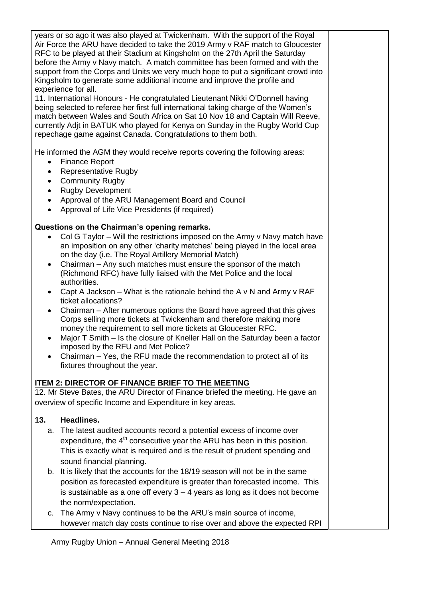years or so ago it was also played at Twickenham. With the support of the Royal Air Force the ARU have decided to take the 2019 Army v RAF match to Gloucester RFC to be played at their Stadium at Kingsholm on the 27th April the Saturday before the Army v Navy match. A match committee has been formed and with the support from the Corps and Units we very much hope to put a significant crowd into Kingsholm to generate some additional income and improve the profile and experience for all.

11. International Honours - He congratulated Lieutenant Nikki O'Donnell having being selected to referee her first full international taking charge of the Women's match between Wales and South Africa on Sat 10 Nov 18 and Captain Will Reeve, currently Adjt in BATUK who played for Kenya on Sunday in the Rugby World Cup repechage game against Canada. Congratulations to them both.

He informed the AGM they would receive reports covering the following areas:

- Finance Report
- Representative Rugby
- Community Rugby
- Rugby Development
- Approval of the ARU Management Board and Council
- Approval of Life Vice Presidents (if required)

#### **Questions on the Chairman's opening remarks.**

- Col G Taylor Will the restrictions imposed on the Army v Navy match have an imposition on any other 'charity matches' being played in the local area on the day (i.e. The Royal Artillery Memorial Match)
- Chairman Any such matches must ensure the sponsor of the match (Richmond RFC) have fully liaised with the Met Police and the local authorities.
- Capt A Jackson What is the rationale behind the A v N and Army v RAF ticket allocations?
- Chairman After numerous options the Board have agreed that this gives Corps selling more tickets at Twickenham and therefore making more money the requirement to sell more tickets at Gloucester RFC.
- Major T Smith Is the closure of Kneller Hall on the Saturday been a factor imposed by the RFU and Met Police?
- Chairman Yes, the RFU made the recommendation to protect all of its fixtures throughout the year.

# **ITEM 2: DIRECTOR OF FINANCE BRIEF TO THE MEETING**

12. Mr Steve Bates, the ARU Director of Finance briefed the meeting. He gave an overview of specific Income and Expenditure in key areas.

### **13. Headlines.**

- a. The latest audited accounts record a potential excess of income over expenditure, the  $4<sup>th</sup>$  consecutive year the ARU has been in this position. This is exactly what is required and is the result of prudent spending and sound financial planning.
- b. It is likely that the accounts for the 18/19 season will not be in the same position as forecasted expenditure is greater than forecasted income. This is sustainable as a one off every 3 – 4 years as long as it does not become the norm/expectation.
- c. The Army v Navy continues to be the ARU's main source of income, however match day costs continue to rise over and above the expected RPI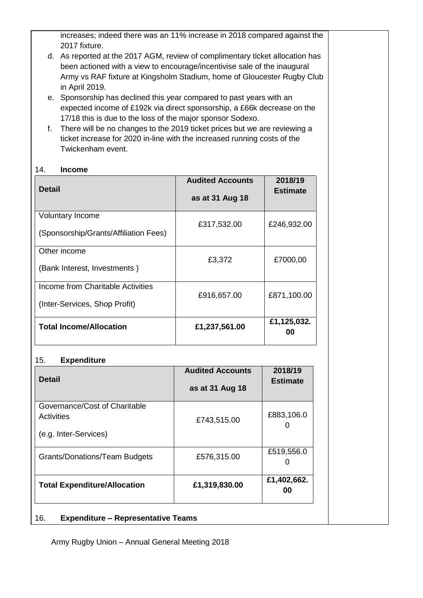increases; indeed there was an 11% increase in 2018 compared against the 2017 fixture.

- d. As reported at the 2017 AGM, review of complimentary ticket allocation has been actioned with a view to encourage/incentivise sale of the inaugural Army vs RAF fixture at Kingsholm Stadium, home of Gloucester Rugby Club in April 2019.
- e. Sponsorship has declined this year compared to past years with an expected income of £192k via direct sponsorship, a £66k decrease on the 17/18 this is due to the loss of the major sponsor Sodexo.
- f. There will be no changes to the 2019 ticket prices but we are reviewing a ticket increase for 2020 in-line with the increased running costs of the Twickenham event.

### 14. **Income**

| <b>Detail</b>                                                      | <b>Audited Accounts</b><br>as at 31 Aug 18 | 2018/19<br><b>Estimate</b> |
|--------------------------------------------------------------------|--------------------------------------------|----------------------------|
| <b>Voluntary Income</b>                                            | £317,532.00                                | £246,932.00                |
| (Sponsorship/Grants/Affiliation Fees)                              |                                            |                            |
| Other income<br>(Bank Interest, Investments)                       | £3,372                                     | £7000,00                   |
| Income from Charitable Activities<br>(Inter-Services, Shop Profit) | £916,657.00                                | £871,100.00                |
| <b>Total Income/Allocation</b>                                     | £1,237,561.00                              | £1,125,032.<br>00          |

#### 15. **Expenditure**

| <b>Detail</b>                                                               | <b>Audited Accounts</b><br>as at 31 Aug 18 | 2018/19<br><b>Estimate</b> |  |  |  |  |
|-----------------------------------------------------------------------------|--------------------------------------------|----------------------------|--|--|--|--|
| Governance/Cost of Charitable<br><b>Activities</b><br>(e.g. Inter-Services) | £743,515.00                                | £883,106.0                 |  |  |  |  |
| <b>Grants/Donations/Team Budgets</b>                                        | £576,315.00                                | £519,556.0                 |  |  |  |  |
| £1,402,662.<br>£1,319,830.00<br><b>Total Expenditure/Allocation</b><br>00   |                                            |                            |  |  |  |  |
| 16.<br><b>Expenditure – Representative Teams</b>                            |                                            |                            |  |  |  |  |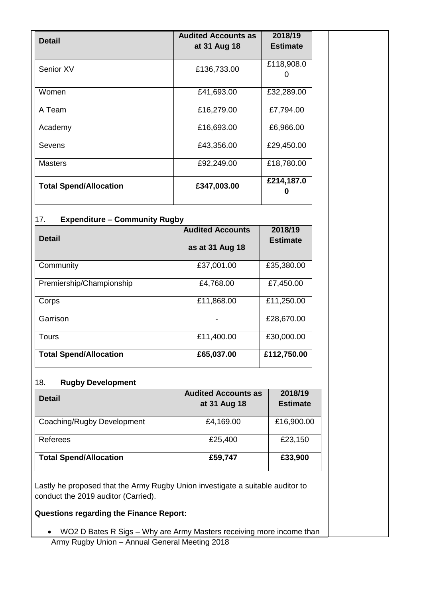| <b>Detail</b>                 | <b>Audited Accounts as</b><br>at 31 Aug 18 | 2018/19<br><b>Estimate</b> |
|-------------------------------|--------------------------------------------|----------------------------|
| Senior XV                     | £136,733.00                                | £118,908.0                 |
| Women                         | £41,693.00                                 | £32,289.00                 |
| A Team                        | £16,279.00                                 | £7,794.00                  |
| Academy                       | £16,693.00                                 | £6,966.00                  |
| Sevens                        | £43,356.00                                 | £29,450.00                 |
| <b>Masters</b>                | £92,249.00                                 | £18,780.00                 |
| <b>Total Spend/Allocation</b> | £347,003.00                                | £214,187.0                 |

### 17. **Expenditure – Community Rugby**

| <b>Detail</b>                 | <b>Audited Accounts</b><br>as at 31 Aug 18 | 2018/19<br><b>Estimate</b> |
|-------------------------------|--------------------------------------------|----------------------------|
| Community                     | £37,001.00                                 | £35,380.00                 |
| Premiership/Championship      | £4,768.00                                  | £7,450.00                  |
| Corps                         | £11,868.00                                 | £11,250.00                 |
| Garrison                      |                                            | £28,670.00                 |
| Tours                         | £11,400.00                                 | £30,000.00                 |
| <b>Total Spend/Allocation</b> | £65,037.00                                 | £112,750.00                |

### 18. **Rugby Development**

| <b>Detail</b>                 | <b>Audited Accounts as</b><br>at 31 Aug 18 | 2018/19<br><b>Estimate</b> |
|-------------------------------|--------------------------------------------|----------------------------|
| Coaching/Rugby Development    | £4,169.00                                  | £16,900.00                 |
| Referees                      | £25,400                                    | £23,150                    |
| <b>Total Spend/Allocation</b> | £59,747                                    | £33,900                    |

Lastly he proposed that the Army Rugby Union investigate a suitable auditor to conduct the 2019 auditor (Carried).

# **Questions regarding the Finance Report:**

• WO2 D Bates R Sigs – Why are Army Masters receiving more income than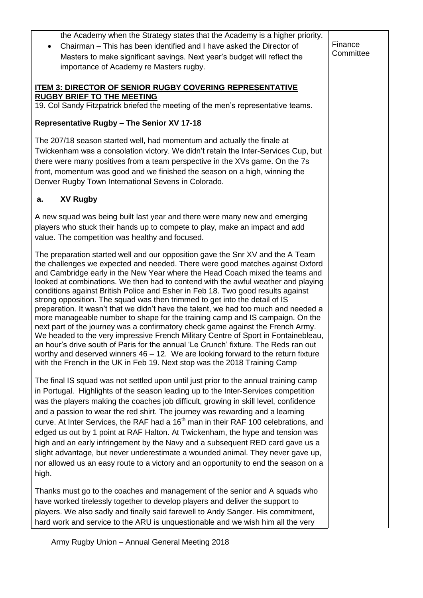| the Academy when the Strategy states that the Academy is a higher priority.<br>Chairman – This has been identified and I have asked the Director of<br>$\bullet$<br>Masters to make significant savings. Next year's budget will reflect the<br>importance of Academy re Masters rugby.                                                                                                                                                                                                                                                                                                                                                                                                                                                                                                                                                                                                                                                                                                                                                                                                                            | Finance<br>Committee |
|--------------------------------------------------------------------------------------------------------------------------------------------------------------------------------------------------------------------------------------------------------------------------------------------------------------------------------------------------------------------------------------------------------------------------------------------------------------------------------------------------------------------------------------------------------------------------------------------------------------------------------------------------------------------------------------------------------------------------------------------------------------------------------------------------------------------------------------------------------------------------------------------------------------------------------------------------------------------------------------------------------------------------------------------------------------------------------------------------------------------|----------------------|
| <b>ITEM 3: DIRECTOR OF SENIOR RUGBY COVERING REPRESENTATIVE</b><br><b>RUGBY BRIEF TO THE MEETING</b><br>19. Col Sandy Fitzpatrick briefed the meeting of the men's representative teams.                                                                                                                                                                                                                                                                                                                                                                                                                                                                                                                                                                                                                                                                                                                                                                                                                                                                                                                           |                      |
| Representative Rugby - The Senior XV 17-18                                                                                                                                                                                                                                                                                                                                                                                                                                                                                                                                                                                                                                                                                                                                                                                                                                                                                                                                                                                                                                                                         |                      |
| The 207/18 season started well, had momentum and actually the finale at<br>Twickenham was a consolation victory. We didn't retain the Inter-Services Cup, but<br>there were many positives from a team perspective in the XVs game. On the 7s<br>front, momentum was good and we finished the season on a high, winning the<br>Denver Rugby Town International Sevens in Colorado.                                                                                                                                                                                                                                                                                                                                                                                                                                                                                                                                                                                                                                                                                                                                 |                      |
| <b>XV Rugby</b><br>а.                                                                                                                                                                                                                                                                                                                                                                                                                                                                                                                                                                                                                                                                                                                                                                                                                                                                                                                                                                                                                                                                                              |                      |
| A new squad was being built last year and there were many new and emerging<br>players who stuck their hands up to compete to play, make an impact and add<br>value. The competition was healthy and focused.                                                                                                                                                                                                                                                                                                                                                                                                                                                                                                                                                                                                                                                                                                                                                                                                                                                                                                       |                      |
| The preparation started well and our opposition gave the Snr XV and the A Team<br>the challenges we expected and needed. There were good matches against Oxford<br>and Cambridge early in the New Year where the Head Coach mixed the teams and<br>looked at combinations. We then had to contend with the awful weather and playing<br>conditions against British Police and Esher in Feb 18. Two good results against<br>strong opposition. The squad was then trimmed to get into the detail of IS<br>preparation. It wasn't that we didn't have the talent, we had too much and needed a<br>more manageable number to shape for the training camp and IS campaign. On the<br>next part of the journey was a confirmatory check game against the French Army.<br>We headed to the very impressive French Military Centre of Sport in Fontainebleau,<br>an hour's drive south of Paris for the annual 'Le Crunch' fixture. The Reds ran out<br>worthy and deserved winners $46 - 12$ . We are looking forward to the return fixture<br>with the French in the UK in Feb 19. Next stop was the 2018 Training Camp |                      |
| The final IS squad was not settled upon until just prior to the annual training camp<br>in Portugal. Highlights of the season leading up to the Inter-Services competition<br>was the players making the coaches job difficult, growing in skill level, confidence<br>and a passion to wear the red shirt. The journey was rewarding and a learning<br>curve. At Inter Services, the RAF had a 16 <sup>th</sup> man in their RAF 100 celebrations, and<br>edged us out by 1 point at RAF Halton. At Twickenham, the hype and tension was<br>high and an early infringement by the Navy and a subsequent RED card gave us a<br>slight advantage, but never underestimate a wounded animal. They never gave up,<br>nor allowed us an easy route to a victory and an opportunity to end the season on a<br>high.                                                                                                                                                                                                                                                                                                      |                      |
| Thanks must go to the coaches and management of the senior and A squads who<br>have worked tirelessly together to develop players and deliver the support to<br>players. We also sadly and finally said farewell to Andy Sanger. His commitment,<br>hard work and service to the ARU is unquestionable and we wish him all the very                                                                                                                                                                                                                                                                                                                                                                                                                                                                                                                                                                                                                                                                                                                                                                                |                      |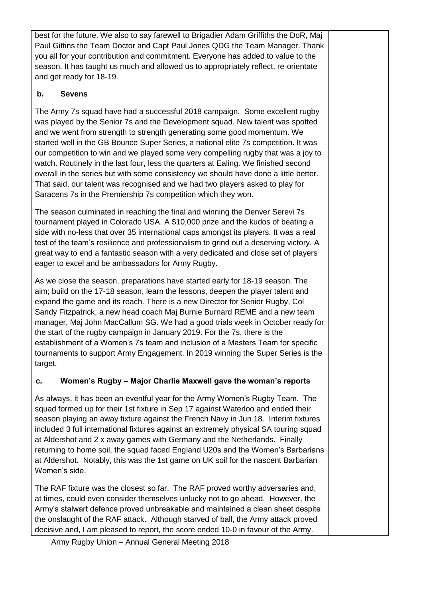best for the future. We also to say farewell to Brigadier Adam Griffiths the DoR, Maj Paul Gittins the Team Doctor and Capt Paul Jones QDG the Team Manager. Thank you all for your contribution and commitment. Everyone has added to value to the season. It has taught us much and allowed us to appropriately reflect, re-orientate and get ready for 18-19.

# **b. Sevens**

The Army 7s squad have had a successful 2018 campaign. Some excellent rugby was played by the Senior 7s and the Development squad. New talent was spotted and we went from strength to strength generating some good momentum. We started well in the GB Bounce Super Series, a national elite 7s competition. It was our competition to win and we played some very compelling rugby that was a joy to watch. Routinely in the last four, less the quarters at Ealing. We finished second overall in the series but with some consistency we should have done a little better. That said, our talent was recognised and we had two players asked to play for Saracens 7s in the Premiership 7s competition which they won.

The season culminated in reaching the final and winning the Denver Serevi 7s tournament played in Colorado USA. A \$10,000 prize and the kudos of beating a side with no-less that over 35 international caps amongst its players. It was a real test of the team's resilience and professionalism to grind out a deserving victory. A great way to end a fantastic season with a very dedicated and close set of players eager to excel and be ambassadors for Army Rugby.

As we close the season, preparations have started early for 18-19 season. The aim; build on the 17-18 season, learn the lessons, deepen the player talent and expand the game and its reach. There is a new Director for Senior Rugby, Col Sandy Fitzpatrick, a new head coach Maj Burnie Burnard REME and a new team manager, Maj John MacCallum SG. We had a good trials week in October ready for the start of the rugby campaign in January 2019. For the 7s, there is the establishment of a Women's 7s team and inclusion of a Masters Team for specific tournaments to support Army Engagement. In 2019 winning the Super Series is the target.

# **c. Women's Rugby – Major Charlie Maxwell gave the woman's reports**

As always, it has been an eventful year for the Army Women's Rugby Team. The squad formed up for their 1st fixture in Sep 17 against Waterloo and ended their season playing an away fixture against the French Navy in Jun 18. Interim fixtures included 3 full international fixtures against an extremely physical SA touring squad at Aldershot and 2 x away games with Germany and the Netherlands. Finally returning to home soil, the squad faced England U20s and the Women's Barbarians at Aldershot. Notably, this was the 1st game on UK soil for the nascent Barbarian Women's side.

The RAF fixture was the closest so far. The RAF proved worthy adversaries and, at times, could even consider themselves unlucky not to go ahead. However, the Army's stalwart defence proved unbreakable and maintained a clean sheet despite the onslaught of the RAF attack. Although starved of ball, the Army attack proved decisive and, I am pleased to report, the score ended 10-0 in favour of the Army.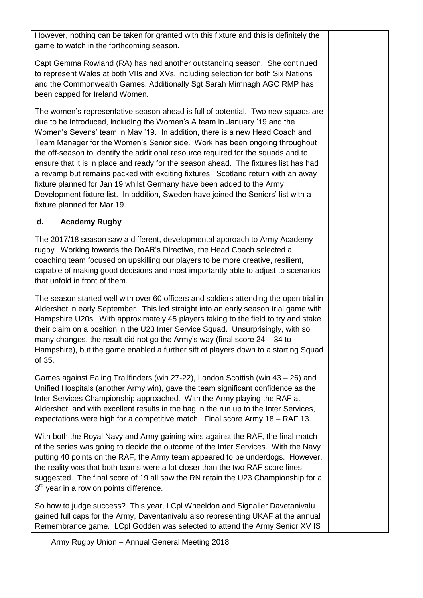However, nothing can be taken for granted with this fixture and this is definitely the game to watch in the forthcoming season.

Capt Gemma Rowland (RA) has had another outstanding season. She continued to represent Wales at both VIIs and XVs, including selection for both Six Nations and the Commonwealth Games. Additionally Sgt Sarah Mimnagh AGC RMP has been capped for Ireland Women.

The women's representative season ahead is full of potential. Two new squads are due to be introduced, including the Women's A team in January '19 and the Women's Sevens' team in May '19. In addition, there is a new Head Coach and Team Manager for the Women's Senior side. Work has been ongoing throughout the off-season to identify the additional resource required for the squads and to ensure that it is in place and ready for the season ahead. The fixtures list has had a revamp but remains packed with exciting fixtures. Scotland return with an away fixture planned for Jan 19 whilst Germany have been added to the Army Development fixture list. In addition, Sweden have joined the Seniors' list with a fixture planned for Mar 19.

# **d. Academy Rugby**

The 2017/18 season saw a different, developmental approach to Army Academy rugby. Working towards the DoAR's Directive, the Head Coach selected a coaching team focused on upskilling our players to be more creative, resilient, capable of making good decisions and most importantly able to adjust to scenarios that unfold in front of them.

The season started well with over 60 officers and soldiers attending the open trial in Aldershot in early September. This led straight into an early season trial game with Hampshire U20s. With approximately 45 players taking to the field to try and stake their claim on a position in the U23 Inter Service Squad. Unsurprisingly, with so many changes, the result did not go the Army's way (final score 24 – 34 to Hampshire), but the game enabled a further sift of players down to a starting Squad of 35.

Games against Ealing Trailfinders (win 27-22), London Scottish (win 43 – 26) and Unified Hospitals (another Army win), gave the team significant confidence as the Inter Services Championship approached. With the Army playing the RAF at Aldershot, and with excellent results in the bag in the run up to the Inter Services, expectations were high for a competitive match. Final score Army 18 – RAF 13.

With both the Royal Navy and Army gaining wins against the RAF, the final match of the series was going to decide the outcome of the Inter Services. With the Navy putting 40 points on the RAF, the Army team appeared to be underdogs. However, the reality was that both teams were a lot closer than the two RAF score lines suggested. The final score of 19 all saw the RN retain the U23 Championship for a 3<sup>rd</sup> year in a row on points difference.

So how to judge success? This year, LCpl Wheeldon and Signaller Davetanivalu gained full caps for the Army, Daventanivalu also representing UKAF at the annual Remembrance game. LCpl Godden was selected to attend the Army Senior XV IS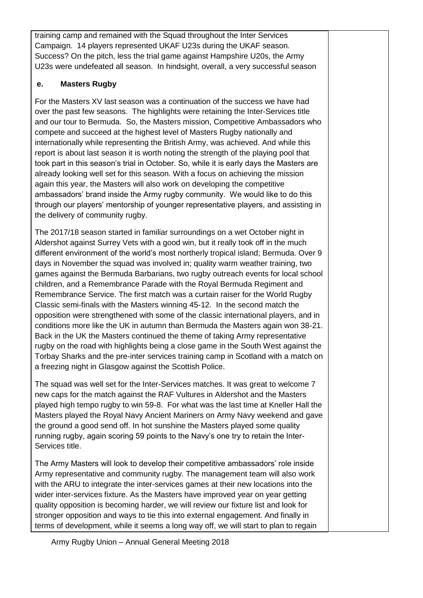training camp and remained with the Squad throughout the Inter Services Campaign. 14 players represented UKAF U23s during the UKAF season. Success? On the pitch, less the trial game against Hampshire U20s, the Army U23s were undefeated all season. In hindsight, overall, a very successful season

# **e. Masters Rugby**

For the Masters XV last season was a continuation of the success we have had over the past few seasons. The highlights were retaining the Inter-Services title and our tour to Bermuda. So, the Masters mission, Competitive Ambassadors who compete and succeed at the highest level of Masters Rugby nationally and internationally while representing the British Army, was achieved. And while this report is about last season it is worth noting the strength of the playing pool that took part in this season's trial in October. So, while it is early days the Masters are already looking well set for this season. With a focus on achieving the mission again this year, the Masters will also work on developing the competitive ambassadors' brand inside the Army rugby community. We would like to do this through our players' mentorship of younger representative players, and assisting in the delivery of community rugby.

The 2017/18 season started in familiar surroundings on a wet October night in Aldershot against Surrey Vets with a good win, but it really took off in the much different environment of the world's most northerly tropical island; Bermuda. Over 9 days in November the squad was involved in; quality warm weather training, two games against the Bermuda Barbarians, two rugby outreach events for local school children, and a Remembrance Parade with the Royal Bermuda Regiment and Remembrance Service. The first match was a curtain raiser for the World Rugby Classic semi-finals with the Masters winning 45-12. In the second match the opposition were strengthened with some of the classic international players, and in conditions more like the UK in autumn than Bermuda the Masters again won 38-21. Back in the UK the Masters continued the theme of taking Army representative rugby on the road with highlights being a close game in the South West against the Torbay Sharks and the pre-inter services training camp in Scotland with a match on a freezing night in Glasgow against the Scottish Police.

The squad was well set for the Inter-Services matches. It was great to welcome 7 new caps for the match against the RAF Vultures in Aldershot and the Masters played high tempo rugby to win 59-8. For what was the last time at Kneller Hall the Masters played the Royal Navy Ancient Mariners on Army Navy weekend and gave the ground a good send off. In hot sunshine the Masters played some quality running rugby, again scoring 59 points to the Navy's one try to retain the Inter-Services title.

The Army Masters will look to develop their competitive ambassadors' role inside Army representative and community rugby. The management team will also work with the ARU to integrate the inter-services games at their new locations into the wider inter-services fixture. As the Masters have improved year on year getting quality opposition is becoming harder, we will review our fixture list and look for stronger opposition and ways to tie this into external engagement. And finally in terms of development, while it seems a long way off, we will start to plan to regain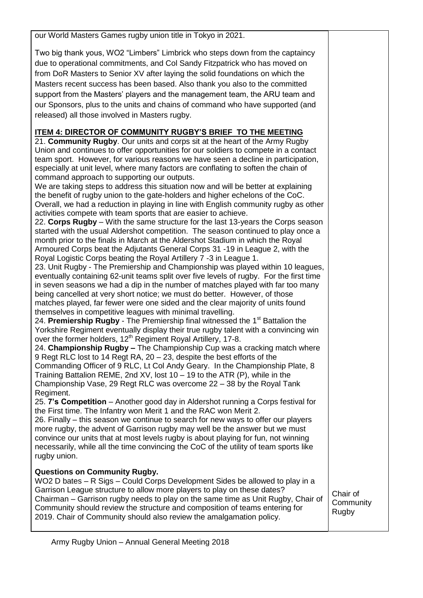our World Masters Games rugby union title in Tokyo in 2021.

Two big thank yous, WO2 "Limbers" Limbrick who steps down from the captaincy due to operational commitments, and Col Sandy Fitzpatrick who has moved on from DoR Masters to Senior XV after laying the solid foundations on which the Masters recent success has been based. Also thank you also to the committed support from the Masters' players and the management team, the ARU team and our Sponsors, plus to the units and chains of command who have supported (and released) all those involved in Masters rugby.

# **ITEM 4: DIRECTOR OF COMMUNITY RUGBY'S BRIEF TO THE MEETING**

21. **Community Rugby**. Our units and corps sit at the heart of the Army Rugby Union and continues to offer opportunities for our soldiers to compete in a contact team sport. However, for various reasons we have seen a decline in participation, especially at unit level, where many factors are conflating to soften the chain of command approach to supporting our outputs.

We are taking steps to address this situation now and will be better at explaining the benefit of rugby union to the gate-holders and higher echelons of the CoC. Overall, we had a reduction in playing in line with English community rugby as other activities compete with team sports that are easier to achieve.

22. **Corps Rugby** – With the same structure for the last 13-years the Corps season started with the usual Aldershot competition. The season continued to play once a month prior to the finals in March at the Aldershot Stadium in which the Royal Armoured Corps beat the Adjutants General Corps 31 -19 in League 2, with the Royal Logistic Corps beating the Royal Artillery 7 -3 in League 1.

23. Unit Rugby - The Premiership and Championship was played within 10 leagues, eventually containing 62-unit teams split over five levels of rugby. For the first time in seven seasons we had a dip in the number of matches played with far too many being cancelled at very short notice; we must do better. However, of those matches played, far fewer were one sided and the clear majority of units found themselves in competitive leagues with minimal travelling.

24. **Premiership Rugby** - The Premiership final witnessed the 1<sup>st</sup> Battalion the Yorkshire Regiment eventually display their true rugby talent with a convincing win over the former holders, 12<sup>th</sup> Regiment Royal Artillery, 17-8.

24. **Championship Rugby –** The Championship Cup was a cracking match where 9 Regt RLC lost to 14 Regt RA, 20 – 23, despite the best efforts of the Commanding Officer of 9 RLC, Lt Col Andy Geary. In the Championship Plate, 8 Training Battalion REME, 2nd XV, lost 10 – 19 to the ATR (P), while in the Championship Vase, 29 Regt RLC was overcome 22 – 38 by the Royal Tank Regiment.

25. **7's Competition** – Another good day in Aldershot running a Corps festival for the First time. The Infantry won Merit 1 and the RAC won Merit 2.

26. Finally – this season we continue to search for new ways to offer our players more rugby, the advent of Garrison rugby may well be the answer but we must convince our units that at most levels rugby is about playing for fun, not winning necessarily, while all the time convincing the CoC of the utility of team sports like rugby union.

### **Questions on Community Rugby.**

WO2 D bates – R Sigs – Could Corps Development Sides be allowed to play in a Garrison League structure to allow more players to play on these dates? Chairman – Garrison rugby needs to play on the same time as Unit Rugby, Chair of Community should review the structure and composition of teams entering for 2019. Chair of Community should also review the amalgamation policy.

Chair of **Community** Rugby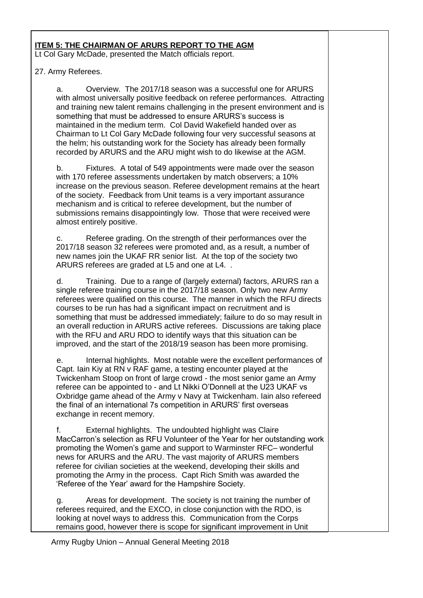### **ITEM 5: THE CHAIRMAN OF ARURS REPORT TO THE AGM**

Lt Col Gary McDade, presented the Match officials report.

#### 27. Army Referees.

a. Overview. The 2017/18 season was a successful one for ARURS with almost universally positive feedback on referee performances. Attracting and training new talent remains challenging in the present environment and is something that must be addressed to ensure ARURS's success is maintained in the medium term. Col David Wakefield handed over as Chairman to Lt Col Gary McDade following four very successful seasons at the helm; his outstanding work for the Society has already been formally recorded by ARURS and the ARU might wish to do likewise at the AGM.

b. Fixtures. A total of 549 appointments were made over the season with 170 referee assessments undertaken by match observers; a 10% increase on the previous season. Referee development remains at the heart of the society. Feedback from Unit teams is a very important assurance mechanism and is critical to referee development, but the number of submissions remains disappointingly low. Those that were received were almost entirely positive.

c. Referee grading. On the strength of their performances over the 2017/18 season 32 referees were promoted and, as a result, a number of new names join the UKAF RR senior list. At the top of the society two ARURS referees are graded at L5 and one at L4. .

d. Training. Due to a range of (largely external) factors, ARURS ran a single referee training course in the 2017/18 season. Only two new Army referees were qualified on this course. The manner in which the RFU directs courses to be run has had a significant impact on recruitment and is something that must be addressed immediately; failure to do so may result in an overall reduction in ARURS active referees. Discussions are taking place with the RFU and ARU RDO to identify ways that this situation can be improved, and the start of the 2018/19 season has been more promising.

e. Internal highlights. Most notable were the excellent performances of Capt. Iain Kiy at RN v RAF game, a testing encounter played at the Twickenham Stoop on front of large crowd - the most senior game an Army referee can be appointed to - and Lt Nikki O'Donnell at the U23 UKAF vs Oxbridge game ahead of the Army v Navy at Twickenham. Iain also refereed the final of an international 7s competition in ARURS' first overseas exchange in recent memory.

f. External highlights. The undoubted highlight was Claire MacCarron's selection as RFU Volunteer of the Year for her outstanding work promoting the Women's game and support to Warminster RFC– wonderful news for ARURS and the ARU. The vast majority of ARURS members referee for civilian societies at the weekend, developing their skills and promoting the Army in the process. Capt Rich Smith was awarded the 'Referee of the Year' award for the Hampshire Society.

g. Areas for development. The society is not training the number of referees required, and the EXCO, in close conjunction with the RDO, is looking at novel ways to address this. Communication from the Corps remains good, however there is scope for significant improvement in Unit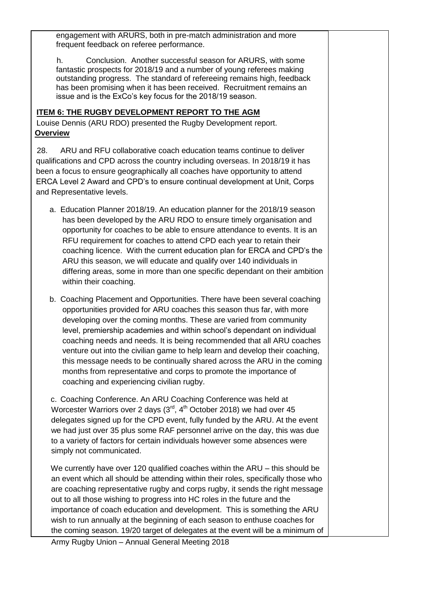engagement with ARURS, both in pre-match administration and more frequent feedback on referee performance.

h. Conclusion. Another successful season for ARURS, with some fantastic prospects for 2018/19 and a number of young referees making outstanding progress. The standard of refereeing remains high, feedback has been promising when it has been received. Recruitment remains an issue and is the ExCo's key focus for the 2018/19 season.

### **ITEM 6: THE RUGBY DEVELOPMENT REPORT TO THE AGM**

Louise Dennis (ARU RDO) presented the Rugby Development report. **Overview** 

28. ARU and RFU collaborative coach education teams continue to deliver qualifications and CPD across the country including overseas. In 2018/19 it has been a focus to ensure geographically all coaches have opportunity to attend ERCA Level 2 Award and CPD's to ensure continual development at Unit, Corps and Representative levels.

- a. Education Planner 2018/19. An education planner for the 2018/19 season has been developed by the ARU RDO to ensure timely organisation and opportunity for coaches to be able to ensure attendance to events. It is an RFU requirement for coaches to attend CPD each year to retain their coaching licence. With the current education plan for ERCA and CPD's the ARU this season, we will educate and qualify over 140 individuals in differing areas, some in more than one specific dependant on their ambition within their coaching.
- b. Coaching Placement and Opportunities. There have been several coaching opportunities provided for ARU coaches this season thus far, with more developing over the coming months. These are varied from community level, premiership academies and within school's dependant on individual coaching needs and needs. It is being recommended that all ARU coaches venture out into the civilian game to help learn and develop their coaching, this message needs to be continually shared across the ARU in the coming months from representative and corps to promote the importance of coaching and experiencing civilian rugby.

c. Coaching Conference. An ARU Coaching Conference was held at Worcester Warriors over 2 days  $(3<sup>rd</sup>, 4<sup>th</sup> October 2018)$  we had over 45 delegates signed up for the CPD event, fully funded by the ARU. At the event we had just over 35 plus some RAF personnel arrive on the day, this was due to a variety of factors for certain individuals however some absences were simply not communicated.

We currently have over 120 qualified coaches within the ARU – this should be an event which all should be attending within their roles, specifically those who are coaching representative rugby and corps rugby, it sends the right message out to all those wishing to progress into HC roles in the future and the importance of coach education and development. This is something the ARU wish to run annually at the beginning of each season to enthuse coaches for the coming season. 19/20 target of delegates at the event will be a minimum of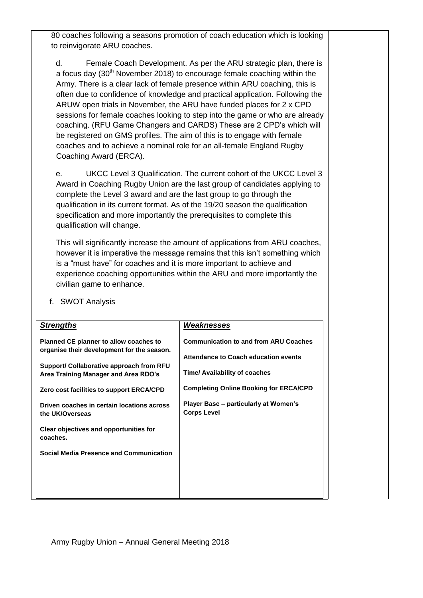80 coaches following a seasons promotion of coach education which is looking to reinvigorate ARU coaches.

d. Female Coach Development. As per the ARU strategic plan, there is a focus day  $(30<sup>th</sup>$  November 2018) to encourage female coaching within the Army. There is a clear lack of female presence within ARU coaching, this is often due to confidence of knowledge and practical application. Following the ARUW open trials in November, the ARU have funded places for 2 x CPD sessions for female coaches looking to step into the game or who are already coaching. (RFU Game Changers and CARDS) These are 2 CPD's which will be registered on GMS profiles. The aim of this is to engage with female coaches and to achieve a nominal role for an all-female England Rugby Coaching Award (ERCA).

e. UKCC Level 3 Qualification. The current cohort of the UKCC Level 3 Award in Coaching Rugby Union are the last group of candidates applying to complete the Level 3 award and are the last group to go through the qualification in its current format. As of the 19/20 season the qualification specification and more importantly the prerequisites to complete this qualification will change.

This will significantly increase the amount of applications from ARU coaches, however it is imperative the message remains that this isn't something which is a "must have" for coaches and it is more important to achieve and experience coaching opportunities within the ARU and more importantly the civilian game to enhance.

| <b>Communication to and from ARU Coaches</b><br><b>Planned CE planner to allow coaches to</b><br>organise their development for the season.<br>Attendance to Coach education events<br>Support/ Collaborative approach from RFU<br><b>Time/ Availability of coaches</b><br>Area Training Manager and Area RDO's<br><b>Completing Online Booking for ERCA/CPD</b><br>Zero cost facilities to support ERCA/CPD<br>Player Base – particularly at Women's<br>Driven coaches in certain locations across<br><b>Corps Level</b><br>the UK/Overseas<br>Clear objectives and opportunities for<br>coaches.<br><b>Social Media Presence and Communication</b> | <b>Strengths</b> | Weaknesses |
|------------------------------------------------------------------------------------------------------------------------------------------------------------------------------------------------------------------------------------------------------------------------------------------------------------------------------------------------------------------------------------------------------------------------------------------------------------------------------------------------------------------------------------------------------------------------------------------------------------------------------------------------------|------------------|------------|
|                                                                                                                                                                                                                                                                                                                                                                                                                                                                                                                                                                                                                                                      |                  |            |

f. SWOT Analysis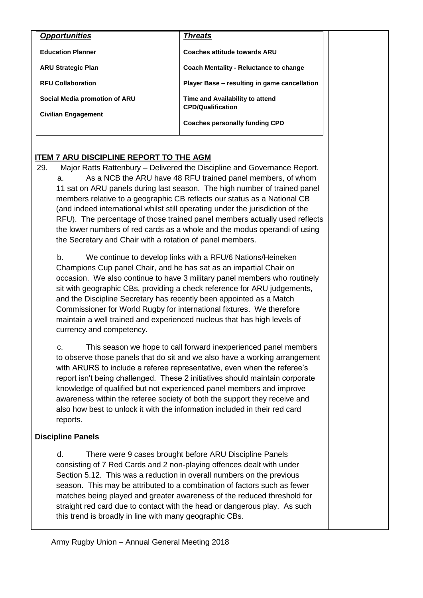| <b>Opportunities</b>          | <b>Threats</b>                                              |  |
|-------------------------------|-------------------------------------------------------------|--|
| <b>Education Planner</b>      | <b>Coaches attitude towards ARU</b>                         |  |
| <b>ARU Strategic Plan</b>     | Coach Mentality - Reluctance to change                      |  |
| <b>RFU Collaboration</b>      | Player Base – resulting in game cancellation                |  |
| Social Media promotion of ARU | Time and Availability to attend<br><b>CPD/Qualification</b> |  |
| <b>Civilian Engagement</b>    |                                                             |  |
|                               | <b>Coaches personally funding CPD</b>                       |  |

# **ITEM 7 ARU DISCIPLINE REPORT TO THE AGM**

29. Major Ratts Rattenbury – Delivered the Discipline and Governance Report. a. As a NCB the ARU have 48 RFU trained panel members, of whom 11 sat on ARU panels during last season. The high number of trained panel members relative to a geographic CB reflects our status as a National CB (and indeed international whilst still operating under the jurisdiction of the RFU). The percentage of those trained panel members actually used reflects the lower numbers of red cards as a whole and the modus operandi of using the Secretary and Chair with a rotation of panel members.

b. We continue to develop links with a RFU/6 Nations/Heineken Champions Cup panel Chair, and he has sat as an impartial Chair on occasion. We also continue to have 3 military panel members who routinely sit with geographic CBs, providing a check reference for ARU judgements, and the Discipline Secretary has recently been appointed as a Match Commissioner for World Rugby for international fixtures. We therefore maintain a well trained and experienced nucleus that has high levels of currency and competency.

c. This season we hope to call forward inexperienced panel members to observe those panels that do sit and we also have a working arrangement with ARURS to include a referee representative, even when the referee's report isn't being challenged. These 2 initiatives should maintain corporate knowledge of qualified but not experienced panel members and improve awareness within the referee society of both the support they receive and also how best to unlock it with the information included in their red card reports.

# **Discipline Panels**

d. There were 9 cases brought before ARU Discipline Panels consisting of 7 Red Cards and 2 non-playing offences dealt with under Section 5.12. This was a reduction in overall numbers on the previous season. This may be attributed to a combination of factors such as fewer matches being played and greater awareness of the reduced threshold for straight red card due to contact with the head or dangerous play. As such this trend is broadly in line with many geographic CBs.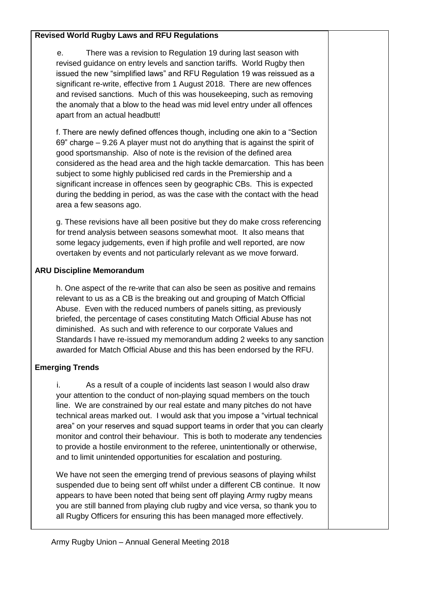#### **Revised World Rugby Laws and RFU Regulations**

e. There was a revision to Regulation 19 during last season with revised guidance on entry levels and sanction tariffs. World Rugby then issued the new "simplified laws" and RFU Regulation 19 was reissued as a significant re-write, effective from 1 August 2018. There are new offences and revised sanctions. Much of this was housekeeping, such as removing the anomaly that a blow to the head was mid level entry under all offences apart from an actual headbutt!

f. There are newly defined offences though, including one akin to a "Section 69" charge – 9.26 A player must not do anything that is against the spirit of good sportsmanship. Also of note is the revision of the defined area considered as the head area and the high tackle demarcation. This has been subject to some highly publicised red cards in the Premiership and a significant increase in offences seen by geographic CBs. This is expected during the bedding in period, as was the case with the contact with the head area a few seasons ago.

g. These revisions have all been positive but they do make cross referencing for trend analysis between seasons somewhat moot. It also means that some legacy judgements, even if high profile and well reported, are now overtaken by events and not particularly relevant as we move forward.

#### **ARU Discipline Memorandum**

h. One aspect of the re-write that can also be seen as positive and remains relevant to us as a CB is the breaking out and grouping of Match Official Abuse. Even with the reduced numbers of panels sitting, as previously briefed, the percentage of cases constituting Match Official Abuse has not diminished. As such and with reference to our corporate Values and Standards I have re-issued my memorandum adding 2 weeks to any sanction awarded for Match Official Abuse and this has been endorsed by the RFU.

### **Emerging Trends**

i. As a result of a couple of incidents last season I would also draw your attention to the conduct of non-playing squad members on the touch line. We are constrained by our real estate and many pitches do not have technical areas marked out. I would ask that you impose a "virtual technical area" on your reserves and squad support teams in order that you can clearly monitor and control their behaviour. This is both to moderate any tendencies to provide a hostile environment to the referee, unintentionally or otherwise, and to limit unintended opportunities for escalation and posturing.

We have not seen the emerging trend of previous seasons of playing whilst suspended due to being sent off whilst under a different CB continue. It now appears to have been noted that being sent off playing Army rugby means you are still banned from playing club rugby and vice versa, so thank you to all Rugby Officers for ensuring this has been managed more effectively.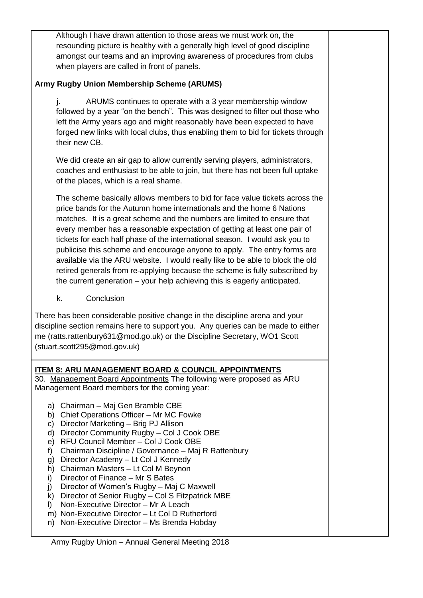Although I have drawn attention to those areas we must work on, the resounding picture is healthy with a generally high level of good discipline amongst our teams and an improving awareness of procedures from clubs when players are called in front of panels.

# **Army Rugby Union Membership Scheme (ARUMS)**

j. ARUMS continues to operate with a 3 year membership window followed by a year "on the bench". This was designed to filter out those who left the Army years ago and might reasonably have been expected to have forged new links with local clubs, thus enabling them to bid for tickets through their new CB.

We did create an air gap to allow currently serving players, administrators, coaches and enthusiast to be able to join, but there has not been full uptake of the places, which is a real shame.

The scheme basically allows members to bid for face value tickets across the price bands for the Autumn home internationals and the home 6 Nations matches. It is a great scheme and the numbers are limited to ensure that every member has a reasonable expectation of getting at least one pair of tickets for each half phase of the international season. I would ask you to publicise this scheme and encourage anyone to apply. The entry forms are available via the ARU website. I would really like to be able to block the old retired generals from re-applying because the scheme is fully subscribed by the current generation – your help achieving this is eagerly anticipated.

k. Conclusion

There has been considerable positive change in the discipline arena and your discipline section remains here to support you. Any queries can be made to either me (ratts.rattenbury631@mod.go.uk) or the Discipline Secretary, WO1 Scott (stuart.scott295@mod.gov.uk)

# **ITEM 8: ARU MANAGEMENT BOARD & COUNCIL APPOINTMENTS**

30. Management Board Appointments The following were proposed as ARU Management Board members for the coming year:

- a) Chairman Maj Gen Bramble CBE
- b) Chief Operations Officer Mr MC Fowke
- c) Director Marketing Brig PJ Allison
- d) Director Community Rugby Col J Cook OBE
- e) RFU Council Member Col J Cook OBE
- f) Chairman Discipline / Governance Maj R Rattenbury
- g) Director Academy Lt Col J Kennedy
- h) Chairman Masters Lt Col M Beynon
- i) Director of Finance Mr S Bates
- j) Director of Women's Rugby Maj C Maxwell
- k) Director of Senior Rugby Col S Fitzpatrick MBE
- l) Non-Executive Director Mr A Leach
- m) Non-Executive Director Lt Col D Rutherford
- n) Non-Executive Director Ms Brenda Hobday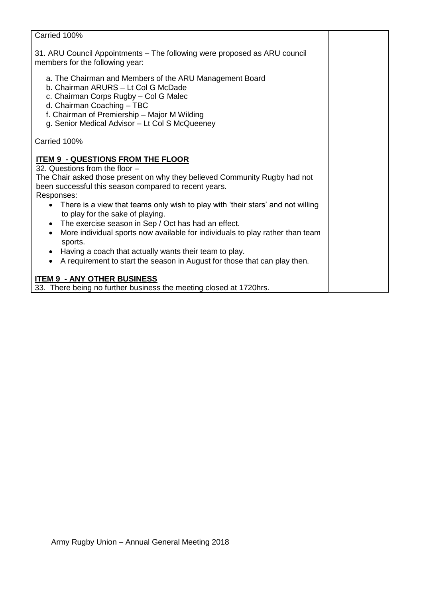| Carried 100%                                                                                                                                                                                                                                                                                                                                                                                                                                                                                                                                                                                                                                                  |  |
|---------------------------------------------------------------------------------------------------------------------------------------------------------------------------------------------------------------------------------------------------------------------------------------------------------------------------------------------------------------------------------------------------------------------------------------------------------------------------------------------------------------------------------------------------------------------------------------------------------------------------------------------------------------|--|
| 31. ARU Council Appointments - The following were proposed as ARU council<br>members for the following year:                                                                                                                                                                                                                                                                                                                                                                                                                                                                                                                                                  |  |
| a. The Chairman and Members of the ARU Management Board<br>b. Chairman ARURS - Lt Col G McDade<br>c. Chairman Corps Rugby - Col G Malec<br>d. Chairman Coaching - TBC<br>f. Chairman of Premiership - Major M Wilding<br>g. Senior Medical Advisor - Lt Col S McQueeney                                                                                                                                                                                                                                                                                                                                                                                       |  |
| Carried 100%                                                                                                                                                                                                                                                                                                                                                                                                                                                                                                                                                                                                                                                  |  |
| <b>ITEM 9 - QUESTIONS FROM THE FLOOR</b><br>32. Questions from the floor -<br>The Chair asked those present on why they believed Community Rugby had not<br>been successful this season compared to recent years.<br>Responses:<br>There is a view that teams only wish to play with 'their stars' and not willing<br>to play for the sake of playing.<br>The exercise season in Sep / Oct has had an effect.<br>$\bullet$<br>More individual sports now available for individuals to play rather than team<br>sports.<br>Having a coach that actually wants their team to play.<br>A requirement to start the season in August for those that can play then. |  |
| <b>ITEM 9 - ANY OTHER BUSINESS</b><br>33. There being no further business the meeting closed at 1720hrs.                                                                                                                                                                                                                                                                                                                                                                                                                                                                                                                                                      |  |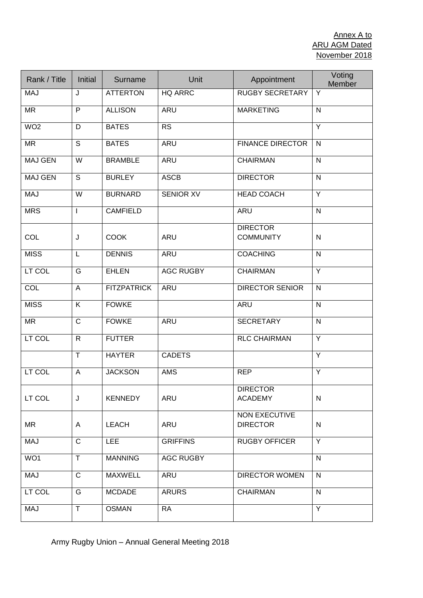| Rank / Title    | <b>Initial</b>          | Surname            | Unit             | Appointment                         | Voting<br>Member |
|-----------------|-------------------------|--------------------|------------------|-------------------------------------|------------------|
| <b>MAJ</b>      | J                       | <b>ATTERTON</b>    | <b>HQ ARRC</b>   | <b>RUGBY SECRETARY</b>              | Y                |
| <b>MR</b>       | $\overline{P}$          | <b>ALLISON</b>     | <b>ARU</b>       | <b>MARKETING</b>                    | $\overline{N}$   |
| WO <sub>2</sub> | D                       | <b>BATES</b>       | <b>RS</b>        |                                     | Y                |
| <b>MR</b>       | $\mathsf{S}$            | <b>BATES</b>       | ARU              | <b>FINANCE DIRECTOR</b>             | $\mathsf{N}$     |
| <b>MAJ GEN</b>  | $\overline{\mathsf{W}}$ | <b>BRAMBLE</b>     | <b>ARU</b>       | <b>CHAIRMAN</b>                     | $\mathsf{N}$     |
| <b>MAJ GEN</b>  | S                       | <b>BURLEY</b>      | <b>ASCB</b>      | <b>DIRECTOR</b>                     | $\mathsf{N}$     |
| MAJ             | W                       | <b>BURNARD</b>     | <b>SENIOR XV</b> | <b>HEAD COACH</b>                   | Y                |
| <b>MRS</b>      | $\mathbf{I}$            | <b>CAMFIELD</b>    |                  | <b>ARU</b>                          | $\mathsf{N}$     |
| COL             | J                       | <b>COOK</b>        | <b>ARU</b>       | <b>DIRECTOR</b><br><b>COMMUNITY</b> | $\mathsf{N}$     |
| <b>MISS</b>     | L                       | <b>DENNIS</b>      | ARU              | <b>COACHING</b>                     | $\mathsf{N}$     |
| LT COL          | G                       | <b>EHLEN</b>       | <b>AGC RUGBY</b> | <b>CHAIRMAN</b>                     | Y                |
| COL             | A                       | <b>FITZPATRICK</b> | ARU              | <b>DIRECTOR SENIOR</b>              | $\mathsf{N}$     |
| <b>MISS</b>     | K                       | <b>FOWKE</b>       |                  | <b>ARU</b>                          | $\mathsf{N}$     |
| <b>MR</b>       | $\mathsf{C}$            | <b>FOWKE</b>       | <b>ARU</b>       | <b>SECRETARY</b>                    | $\mathsf{N}$     |
| LT COL          | $\mathsf{R}$            | <b>FUTTER</b>      |                  | <b>RLC CHAIRMAN</b>                 | Y                |
|                 | $\top$                  | <b>HAYTER</b>      | <b>CADETS</b>    |                                     | Y                |
| LT COL          | A                       | <b>JACKSON</b>     | <b>AMS</b>       | <b>REP</b>                          | $\overline{Y}$   |
| LT COL          | J                       | <b>KENNEDY</b>     | ARU              | <b>DIRECTOR</b><br><b>ACADEMY</b>   | $\mathsf{N}$     |
| <b>MR</b>       | A                       | <b>LEACH</b>       | ARU              | NON EXECUTIVE<br><b>DIRECTOR</b>    | ${\sf N}$        |
| <b>MAJ</b>      | $\mathsf{C}$            | <b>LEE</b>         | <b>GRIFFINS</b>  | <b>RUGBY OFFICER</b>                | Y                |
| WO1             | T                       | <b>MANNING</b>     | <b>AGC RUGBY</b> |                                     | $\mathsf{N}$     |
| <b>MAJ</b>      | $\mathsf{C}$            | <b>MAXWELL</b>     | <b>ARU</b>       | <b>DIRECTOR WOMEN</b>               | $\mathsf{N}$     |
| LT COL          | G                       | <b>MCDADE</b>      | <b>ARURS</b>     | <b>CHAIRMAN</b>                     | $\mathsf{N}$     |
| <b>MAJ</b>      | T                       | <b>OSMAN</b>       | <b>RA</b>        |                                     | Y                |